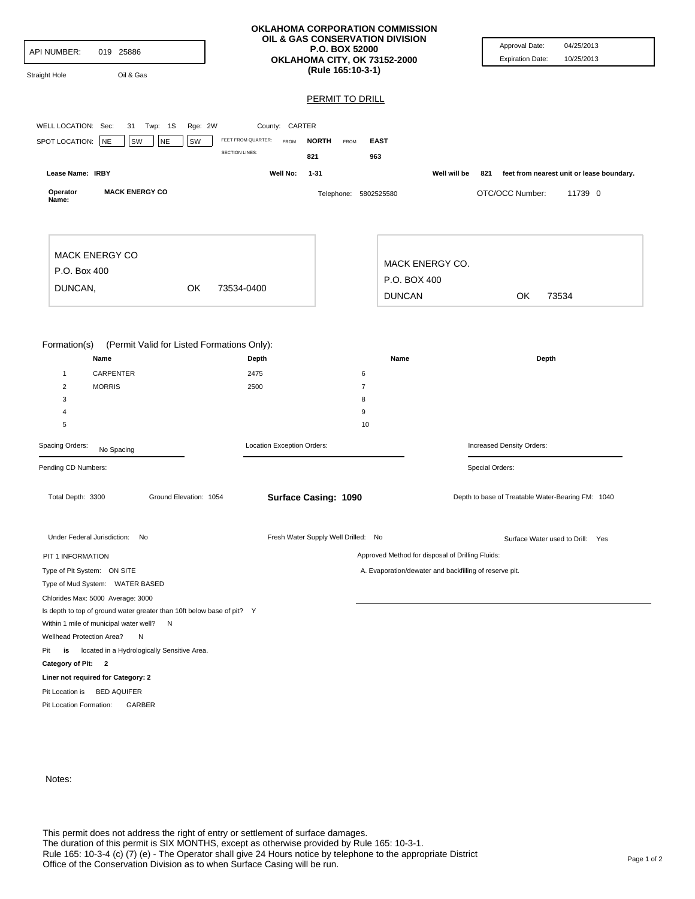| API NUMBER:<br>019 25886<br>Oil & Gas<br><b>Straight Hole</b>                 |                                                     | OKLAHOMA CORPORATION COMMISSION<br>OIL & GAS CONSERVATION DIVISION<br>P.O. BOX 52000<br>OKLAHOMA CITY, OK 73152-2000<br>(Rule 165:10-3-1) | Approval Date:<br>04/25/2013<br><b>Expiration Date:</b><br>10/25/2013 |
|-------------------------------------------------------------------------------|-----------------------------------------------------|-------------------------------------------------------------------------------------------------------------------------------------------|-----------------------------------------------------------------------|
|                                                                               |                                                     | <b>PERMIT TO DRILL</b>                                                                                                                    |                                                                       |
|                                                                               |                                                     |                                                                                                                                           |                                                                       |
| WELL LOCATION: Sec:<br>31 Twp: 1S                                             | Rge: 2W<br>County: CARTER                           |                                                                                                                                           |                                                                       |
| <b>NE</b><br>SW<br>SPOT LOCATION:<br><b>NE</b><br>SW                          | FEET FROM QUARTER:<br>FROM<br><b>SECTION LINES:</b> | <b>NORTH</b><br><b>EAST</b><br>FROM                                                                                                       |                                                                       |
|                                                                               |                                                     | 821<br>963                                                                                                                                |                                                                       |
| Lease Name: IRBY                                                              | Well No:                                            | $1 - 31$                                                                                                                                  | Well will be<br>feet from nearest unit or lease boundary.<br>821      |
| <b>MACK ENERGY CO</b><br>Operator<br>Name:                                    |                                                     | Telephone: 5802525580                                                                                                                     | OTC/OCC Number:<br>11739 0                                            |
| <b>MACK ENERGY CO</b>                                                         |                                                     | <b>MACK ENERGY CO.</b>                                                                                                                    |                                                                       |
| P.O. Box 400                                                                  |                                                     | P.O. BOX 400                                                                                                                              |                                                                       |
| DUNCAN,<br>OK                                                                 | 73534-0400                                          |                                                                                                                                           |                                                                       |
|                                                                               |                                                     | <b>DUNCAN</b>                                                                                                                             | OK<br>73534                                                           |
| Name<br><b>CARPENTER</b><br>$\mathbf{1}$<br><b>MORRIS</b><br>2<br>3<br>4<br>5 | Depth<br>2475<br>2500                               | 6<br>$\overline{7}$<br>8<br>9<br>10                                                                                                       | Depth                                                                 |
| Spacing Orders:<br>No Spacing                                                 | Location Exception Orders:                          |                                                                                                                                           | Increased Density Orders:                                             |
| Pending CD Numbers:<br>Total Depth: 3300<br>Ground Elevation: 1054            |                                                     | <b>Surface Casing: 1090</b>                                                                                                               | Special Orders:<br>Depth to base of Treatable Water-Bearing FM: 1040  |
| Under Federal Jurisdiction: No                                                |                                                     | Fresh Water Supply Well Drilled: No                                                                                                       | Surface Water used to Drill: Yes                                      |
| PIT 1 INFORMATION                                                             |                                                     |                                                                                                                                           | Approved Method for disposal of Drilling Fluids:                      |
| Type of Pit System: ON SITE                                                   |                                                     |                                                                                                                                           | A. Evaporation/dewater and backfilling of reserve pit.                |
| Type of Mud System: WATER BASED                                               |                                                     |                                                                                                                                           |                                                                       |
| Chlorides Max: 5000 Average: 3000                                             |                                                     |                                                                                                                                           |                                                                       |
| Is depth to top of ground water greater than 10ft below base of pit? Y        |                                                     |                                                                                                                                           |                                                                       |
| Within 1 mile of municipal water well? N                                      |                                                     |                                                                                                                                           |                                                                       |
| Wellhead Protection Area?<br>N                                                |                                                     |                                                                                                                                           |                                                                       |
| located in a Hydrologically Sensitive Area.<br>Pit<br>is                      |                                                     |                                                                                                                                           |                                                                       |
| Category of Pit: 2                                                            |                                                     |                                                                                                                                           |                                                                       |
| Liner not required for Category: 2                                            |                                                     |                                                                                                                                           |                                                                       |
| Pit Location is BED AQUIFER<br>Pit Location Formation:<br>GARBER              |                                                     |                                                                                                                                           |                                                                       |
|                                                                               |                                                     |                                                                                                                                           |                                                                       |

Notes: